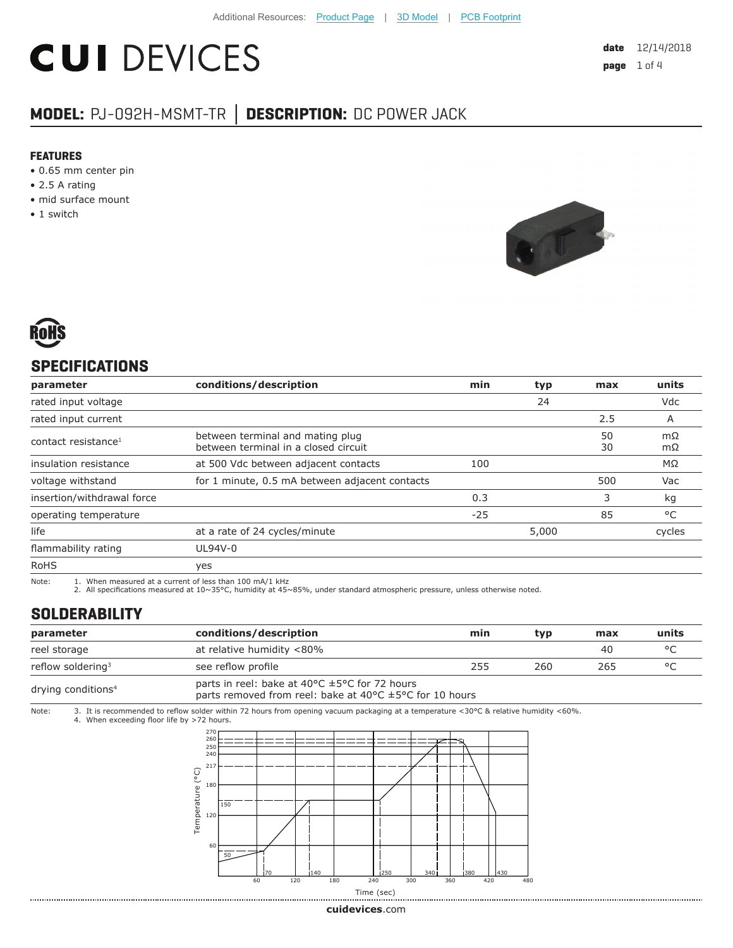# **CUI DEVICES**

# **MODEL:** PJ-092H-MSMT-TR **│ DESCRIPTION:** DC POWER JACK

#### **FEATURES**

- 0.65 mm center pin
- 2.5 A rating
- mid surface mount
- 1 switch





## **SPECIFICATIONS**

| parameter                       | conditions/description                                                   | min   | typ   | max      | units        |
|---------------------------------|--------------------------------------------------------------------------|-------|-------|----------|--------------|
| rated input voltage             |                                                                          |       | 24    |          | Vdc          |
| rated input current             |                                                                          |       |       | 2.5      | A            |
| contact resistance <sup>1</sup> | between terminal and mating plug<br>between terminal in a closed circuit |       |       | 50<br>30 | mΩ<br>mΩ     |
| insulation resistance           | at 500 Vdc between adjacent contacts                                     | 100   |       |          | MΩ           |
| voltage withstand               | for 1 minute, 0.5 mA between adjacent contacts                           |       |       | 500      | Vac          |
| insertion/withdrawal force      |                                                                          | 0.3   |       | 3        | kg           |
| operating temperature           |                                                                          | $-25$ |       | 85       | $^{\circ}$ C |
| life                            | at a rate of 24 cycles/minute                                            |       | 5,000 |          | cycles       |
| flammability rating             | UL94V-0                                                                  |       |       |          |              |
| <b>RoHS</b>                     | yes                                                                      |       |       |          |              |

Note: 1. When measured at a current of less than 100 mA/1 kHz

2. All specifications measured at 10~35°C, humidity at 45~85%, under standard atmospheric pressure, unless otherwise noted.

### **SOLDERABILITY**

| parameter                      | conditions/description                                                                                                                                     | min | tvp | max | units   |
|--------------------------------|------------------------------------------------------------------------------------------------------------------------------------------------------------|-----|-----|-----|---------|
| reel storage                   | at relative humidity <80%                                                                                                                                  |     |     | 40  | $\circ$ |
| reflow soldering <sup>3</sup>  | see reflow profile                                                                                                                                         | 255 | 260 | 265 | $\circ$ |
| drying conditions <sup>4</sup> | parts in reel: bake at 40 $\degree$ C $\pm$ 5 $\degree$ C for 72 hours<br>parts removed from reel: bake at 40 $\degree$ C $\pm$ 5 $\degree$ C for 10 hours |     |     |     |         |

Note: 3. It is recommended to reflow solder within 72 hours from opening vacuum packaging at a temperature <30°C & relative humidity <60%. 4. When exceeding floor life by >72 hours.



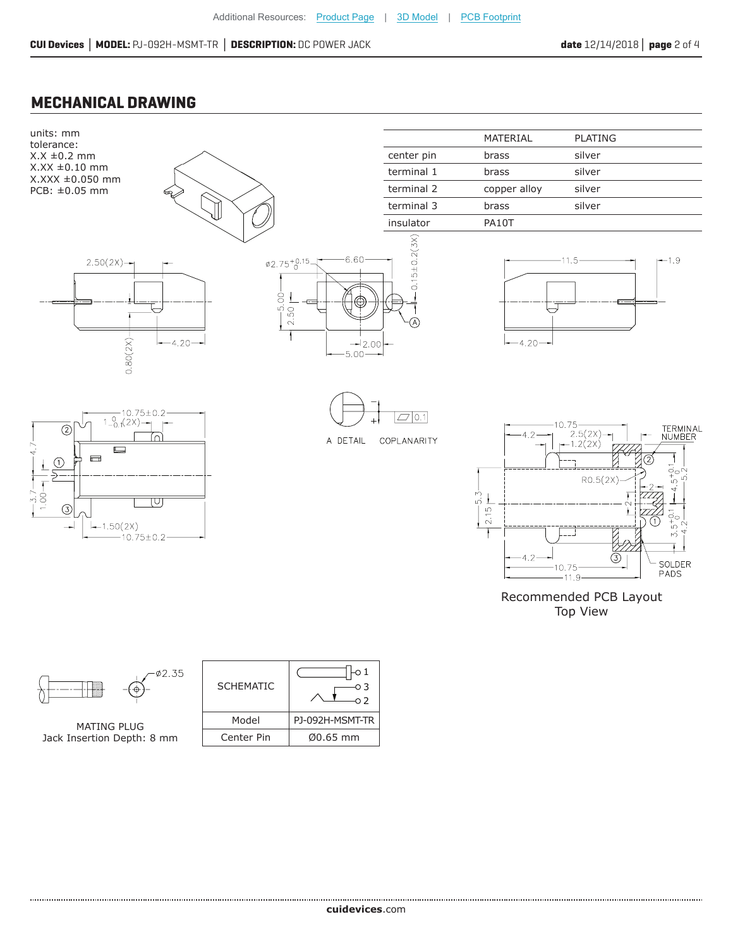#### **MECHANICAL DRAWING**

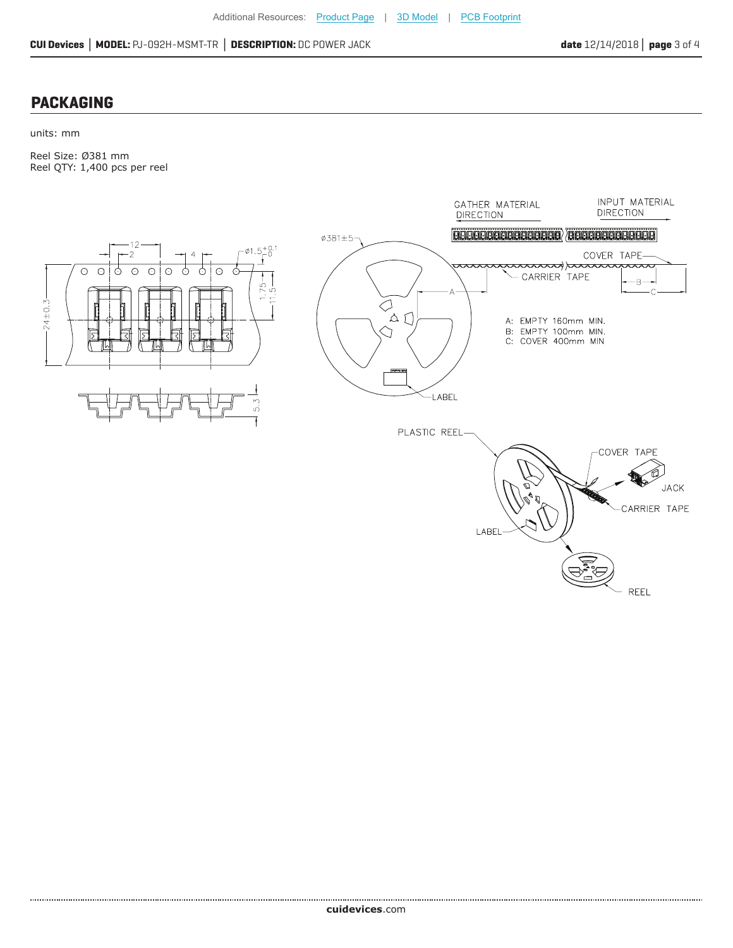#### **PACKAGING**

units: mm

Reel Size: Ø381 mm Reel QTY: 1,400 pcs per reel